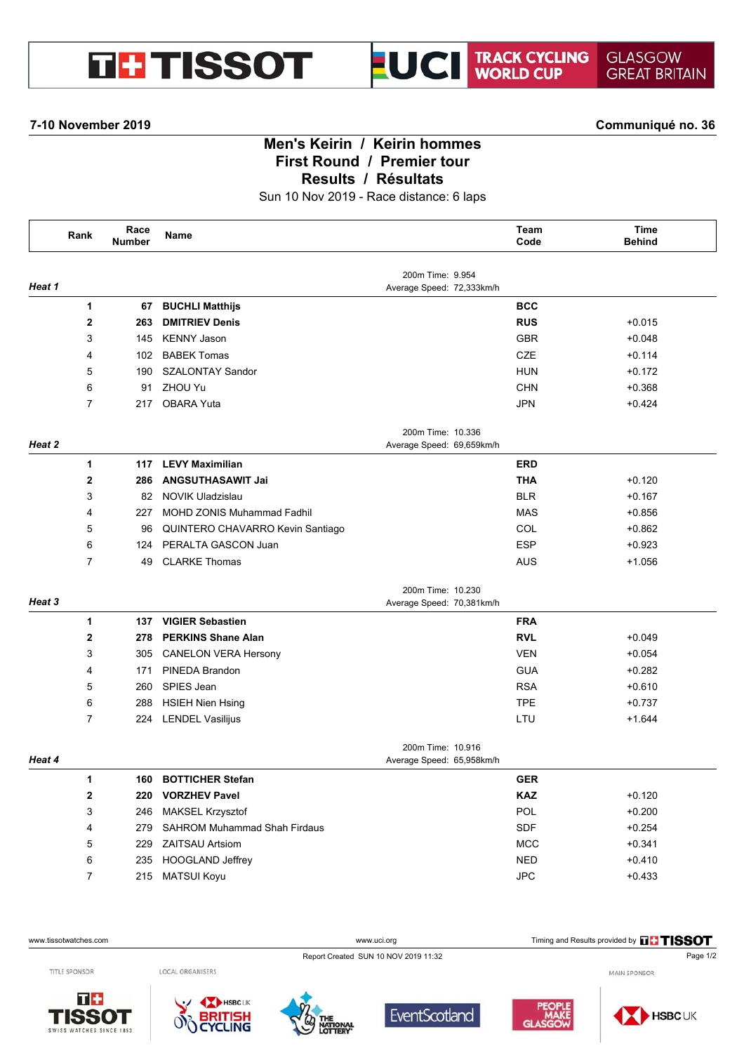

**7-10 November 2019 Communiqué no. 36**

## **Men's Keirin / Keirin hommes First Round / Premier tour Results / Résultats**

Sun 10 Nov 2019 - Race distance: 6 laps

|        | Rank           | Race<br><b>Number</b> | Name                                |                                                | Team<br>Code | <b>Time</b><br><b>Behind</b> |
|--------|----------------|-----------------------|-------------------------------------|------------------------------------------------|--------------|------------------------------|
| Heat 1 |                |                       |                                     | 200m Time: 9.954<br>Average Speed: 72,333km/h  |              |                              |
|        | 1              | 67                    | <b>BUCHLI Matthijs</b>              |                                                | <b>BCC</b>   |                              |
|        | $\mathbf{2}$   | 263                   | <b>DMITRIEV Denis</b>               |                                                | <b>RUS</b>   | $+0.015$                     |
|        | 3              | 145                   | <b>KENNY Jason</b>                  |                                                | <b>GBR</b>   | $+0.048$                     |
|        | 4              | 102                   | <b>BABEK Tomas</b>                  |                                                | <b>CZE</b>   | $+0.114$                     |
|        | 5              | 190                   | <b>SZALONTAY Sandor</b>             |                                                | <b>HUN</b>   | $+0.172$                     |
|        | 6              | 91                    | ZHOU Yu                             |                                                | <b>CHN</b>   | $+0.368$                     |
|        | 7              | 217                   | <b>OBARA Yuta</b>                   |                                                | <b>JPN</b>   | $+0.424$                     |
| Heat 2 |                |                       |                                     | 200m Time: 10.336<br>Average Speed: 69,659km/h |              |                              |
|        | 1              | 117                   | <b>LEVY Maximilian</b>              |                                                | <b>ERD</b>   |                              |
|        | 2              | 286                   | <b>ANGSUTHASAWIT Jai</b>            |                                                | <b>THA</b>   | $+0.120$                     |
|        | 3              | 82                    | <b>NOVIK Uladzislau</b>             |                                                | <b>BLR</b>   | $+0.167$                     |
|        | 4              | 227                   | <b>MOHD ZONIS Muhammad Fadhil</b>   |                                                | <b>MAS</b>   | $+0.856$                     |
|        | 5              | 96                    | QUINTERO CHAVARRO Kevin Santiago    |                                                | COL          | $+0.862$                     |
|        | 6              | 124                   | PERALTA GASCON Juan                 |                                                | <b>ESP</b>   | $+0.923$                     |
|        | $\overline{7}$ | 49                    | <b>CLARKE Thomas</b>                |                                                | <b>AUS</b>   | $+1.056$                     |
| Heat 3 |                |                       |                                     | 200m Time: 10.230<br>Average Speed: 70,381km/h |              |                              |
|        | $\mathbf{1}$   | 137                   | <b>VIGIER Sebastien</b>             |                                                | <b>FRA</b>   |                              |
|        | $\mathbf 2$    | 278                   | <b>PERKINS Shane Alan</b>           |                                                | <b>RVL</b>   | $+0.049$                     |
|        | 3              | 305                   | <b>CANELON VERA Hersony</b>         |                                                | <b>VEN</b>   | $+0.054$                     |
|        | 4              | 171                   | PINEDA Brandon                      |                                                | <b>GUA</b>   | $+0.282$                     |
|        | 5              | 260                   | SPIES Jean                          |                                                | <b>RSA</b>   | $+0.610$                     |
|        | 6              | 288                   | <b>HSIEH Nien Hsing</b>             |                                                | <b>TPE</b>   | $+0.737$                     |
|        | $\overline{7}$ | 224                   | <b>LENDEL Vasilijus</b>             |                                                | LTU          | $+1.644$                     |
| Heat 4 |                |                       |                                     | 200m Time: 10.916<br>Average Speed: 65,958km/h |              |                              |
|        | 1.             |                       | 160 BOTTICHER Stefan                |                                                | <b>GER</b>   |                              |
|        | 2              | 220                   | <b>VORZHEV Pavel</b>                |                                                | <b>KAZ</b>   | $+0.120$                     |
|        | 3              | 246                   | MAKSEL Krzysztof                    |                                                | POL          | $+0.200$                     |
|        | 4              | 279                   | <b>SAHROM Muhammad Shah Firdaus</b> |                                                | SDF          | $+0.254$                     |
|        | 5              | 229                   | <b>ZAITSAU Artsiom</b>              |                                                | <b>MCC</b>   | $+0.341$                     |
|        | 6              | 235                   | HOOGLAND Jeffrey                    |                                                | <b>NED</b>   | $+0.410$                     |
|        | $\overline{7}$ | 215                   | <b>MATSUI Koyu</b>                  |                                                | JPC          | $+0.433$                     |
|        |                |                       |                                     |                                                |              |                              |

www.tissotwatches.com **WWW.uciorg** WWW.uci.org Timing and Results provided by **THSSOT** 



MAIN SPONSOR

TITLE SPONSOR

 $T +$ 

SWISS WATCHES SINCE 1853

**ISSOT**